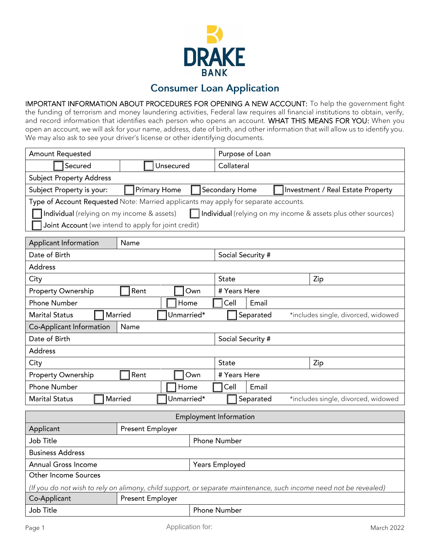

## **Consumer Loan Application**

IMPORTANT INFORMATION ABOUT PROCEDURES FOR OPENING A NEW ACCOUNT: To help the government fight the funding of terrorism and money laundering activities, Federal law requires all financial institutions to obtain, verify, and record information that identifies each person who opens an account. WHAT THIS MEANS FOR YOU: When you open an account, we will ask for your name, address, date of birth, and other information that will allow us to identify you. We may also ask to see your driver's license or other identifying documents.

| <b>Amount Requested</b>                                                                                           |                  |            | Purpose of Loan                                  |  |  |  |  |
|-------------------------------------------------------------------------------------------------------------------|------------------|------------|--------------------------------------------------|--|--|--|--|
| Secured                                                                                                           | Unsecured        |            | Collateral                                       |  |  |  |  |
| <b>Subject Property Address</b>                                                                                   |                  |            |                                                  |  |  |  |  |
| <b>Primary Home</b><br>Secondary Home<br>Subject Property is your:<br>Investment / Real Estate Property           |                  |            |                                                  |  |  |  |  |
| Type of Account Requested Note: Married applicants may apply for separate accounts.                               |                  |            |                                                  |  |  |  |  |
| Individual (relying on my income & assets)<br>Individual (relying on my income & assets plus other sources)       |                  |            |                                                  |  |  |  |  |
| Joint Account (we intend to apply for joint credit)                                                               |                  |            |                                                  |  |  |  |  |
| Applicant Information                                                                                             | Name             |            |                                                  |  |  |  |  |
| Date of Birth                                                                                                     |                  |            | Social Security #                                |  |  |  |  |
| <b>Address</b>                                                                                                    |                  |            |                                                  |  |  |  |  |
| City                                                                                                              |                  |            | State<br>Zip                                     |  |  |  |  |
| Property Ownership                                                                                                | Rent             | Own        | # Years Here                                     |  |  |  |  |
| <b>Phone Number</b>                                                                                               |                  | Home       | Cell<br>Email                                    |  |  |  |  |
| <b>Marital Status</b>                                                                                             | Married          | Unmarried* | Separated<br>*includes single, divorced, widowed |  |  |  |  |
| Co-Applicant Information                                                                                          | Name             |            |                                                  |  |  |  |  |
| Date of Birth                                                                                                     |                  |            | Social Security #                                |  |  |  |  |
| <b>Address</b>                                                                                                    |                  |            |                                                  |  |  |  |  |
| City                                                                                                              |                  |            | State<br>Zip                                     |  |  |  |  |
| Property Ownership                                                                                                | Rent             | Own        | # Years Here                                     |  |  |  |  |
| <b>Phone Number</b>                                                                                               |                  | Home       | Cell<br>Email                                    |  |  |  |  |
| <b>Marital Status</b>                                                                                             | Married          | Unmarried* | Separated<br>*includes single, divorced, widowed |  |  |  |  |
| <b>Employment Information</b>                                                                                     |                  |            |                                                  |  |  |  |  |
| Applicant                                                                                                         | Present Employer |            |                                                  |  |  |  |  |
| Job Title<br><b>Phone Number</b>                                                                                  |                  |            |                                                  |  |  |  |  |
| <b>Business Address</b>                                                                                           |                  |            |                                                  |  |  |  |  |
| Annual Gross Income                                                                                               |                  |            | Years Employed                                   |  |  |  |  |
| <b>Other Income Sources</b>                                                                                       |                  |            |                                                  |  |  |  |  |
| (If you do not wish to rely on alimony, child support, or separate maintenance, such income need not be revealed) |                  |            |                                                  |  |  |  |  |
| Co-Applicant                                                                                                      | Present Employer |            |                                                  |  |  |  |  |
| Job Title                                                                                                         |                  |            | Phone Number                                     |  |  |  |  |